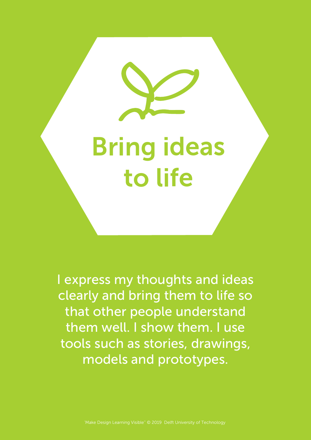Bring ideas to life

I express my thoughts and ideas clearly and bring them to life so that other people understand them well. I show them. I use tools such as stories, drawings, models and prototypes.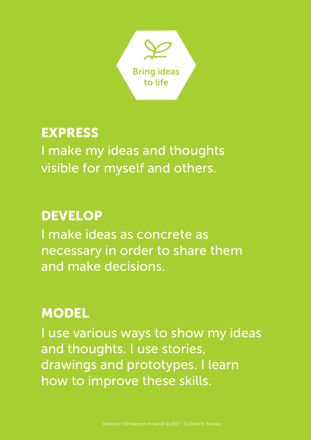

#### EXPRESS

I make my ideas and thoughts visible for myself and others.

#### DEVELOP

I make ideas as concrete as necessary in order to share them and make decisions.

#### **MODEL**

I use various ways to show my ideas and thoughts. I use stories, drawings and prototypes. I learn how to improve these skills.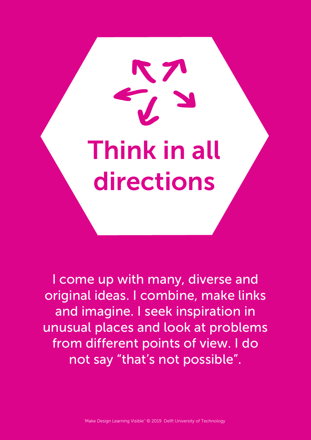Think in all directions

I come up with many, diverse and original ideas. I combine, make links and imagine. I seek inspiration in unusual places and look at problems from different points of view. I do not say "that's not possible".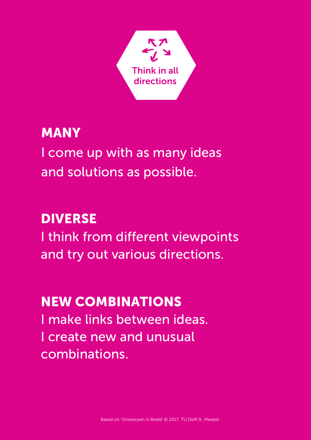

#### MANY

I come up with as many ideas and solutions as possible.

# DIVERSE

I think from different viewpoints and try out various directions.

# NEW COMBINATIONS

I make links between ideas. I create new and unusual combinations.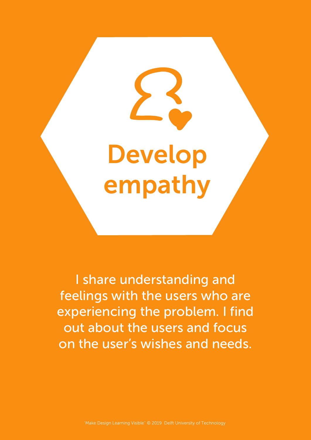# Develop empathy

I share understanding and feelings with the users who are experiencing the problem. I find out about the users and focus on the user's wishes and needs.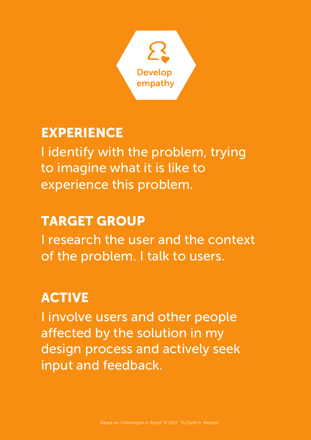

#### EXPERIENCE

I identify with the problem, trying to imagine what it is like to experience this problem.

# TARGET GROUP

I research the user and the context of the problem. I talk to users.

# **ACTIVE**

I involve users and other people affected by the solution in my design process and actively seek input and feedback.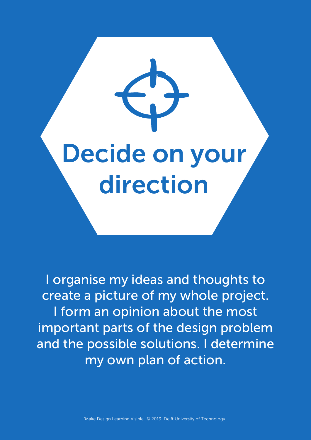# Decide on your direction

I organise my ideas and thoughts to create a picture of my whole project. I form an opinion about the most important parts of the design problem and the possible solutions. I determine my own plan of action.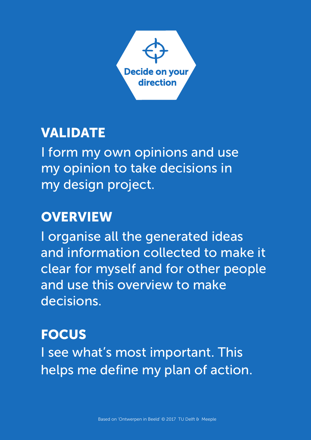

#### VALIDATE

I form my own opinions and use my opinion to take decisions in my design project.

#### **OVERVIEW**

I organise all the generated ideas and information collected to make it clear for myself and for other people and use this overview to make decisions.

#### **FOCUS**

I see what's most important. This helps me define my plan of action.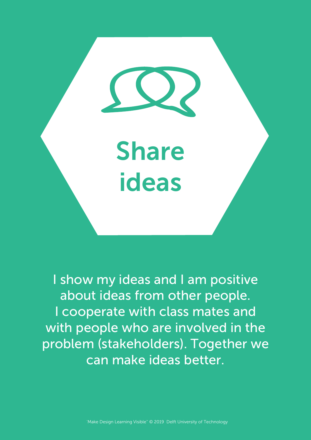

I show my ideas and I am positive about ideas from other people. I cooperate with class mates and with people who are involved in the problem (stakeholders). Together we can make ideas better.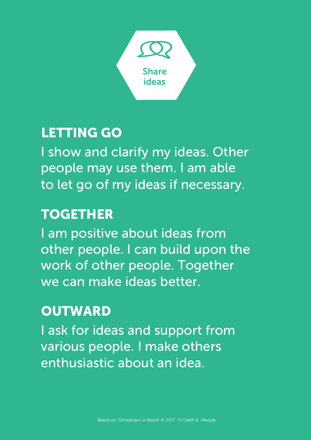

#### LETTING GO

I show and clarify my ideas. Other people may use them. I am able to let go of my ideas if necessary.

#### TOGETHER

I am positive about ideas from other people. I can build upon the work of other people. Together we can make ideas better.

#### **OUTWARD**

I ask for ideas and support from various people. I make others enthusiastic about an idea.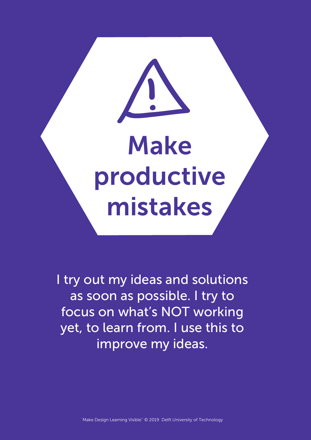

I try out my ideas and solutions as soon as possible. I try to focus on what's NOT working yet, to learn from. I use this to improve my ideas.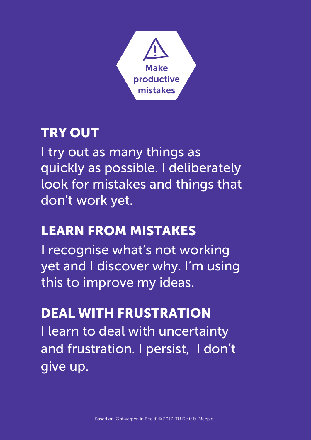

# TRY OUT

I try out as many things as quickly as possible. I deliberately look for mistakes and things that don't work yet.

# LEARN FROM MISTAKES

I recognise what's not working yet and I discover why. I'm using this to improve my ideas.

#### DEAL WITH FRUSTRATION

I learn to deal with uncertainty and frustration. I persist, I don't give up.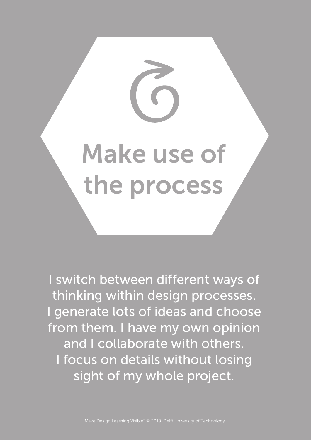

I switch between different ways of thinking within design processes. I generate lots of ideas and choose from them. I have my own opinion and I collaborate with others. I focus on details without losing sight of my whole project.